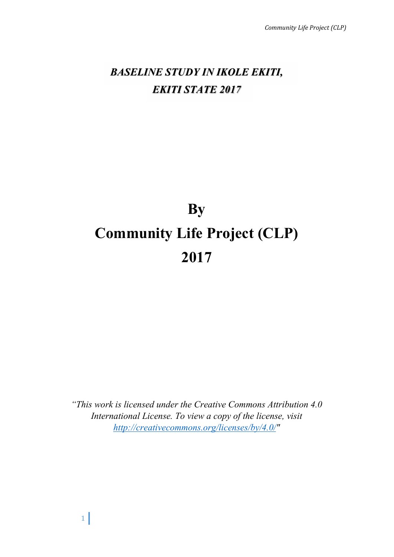# *BASELINE STUDY IN IKOLE EKITI, EKITI STATE 2017*

# **By Community Life Project (CLP) 2017**

*"This work is licensed under the Creative Commons Attribution 4.0 International License. To view a copy of the license, visit http://creativecommons.org/licenses/by/4.0/"*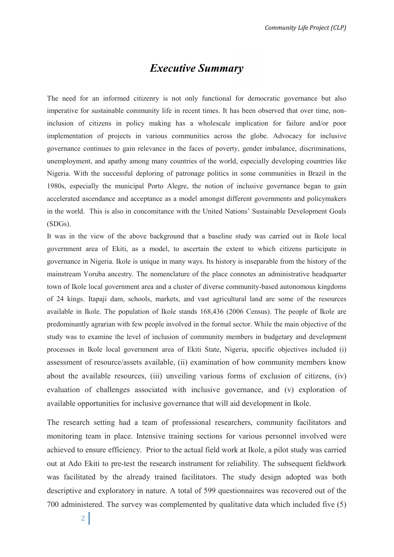# *Executive Summary*

The need for an informed citizenry is not only functional for democratic governance but also imperative for sustainable community life in recent times. It has been observed that over time, noninclusion of citizens in policy making has a wholescale implication for failure and/or poor implementation of projects in various communities across the globe. Advocacy for inclusive governance continues to gain relevance in the faces of poverty, gender imbalance, discriminations, unemployment, and apathy among many countries of the world, especially developing countries like Nigeria. With the successful deploring of patronage politics in some communities in Brazil in the 1980s, especially the municipal Porto Alegre, the notion of inclusive governance began to gain accelerated ascendance and acceptance as a model amongst different governments and policymakers in the world. This is also in concomitance with the United Nations' Sustainable Development Goals (SDGs).

It was in the view of the above background that a baseline study was carried out in Ikole local government area of Ekiti, as a model, to ascertain the extent to which citizens participate in governance in Nigeria. Ikole is unique in many ways. Its history is inseparable from the history of the mainstream Yoruba ancestry. The nomenclature of the place connotes an administrative headquarter town of Ikole local government area and a cluster of diverse community-based autonomous kingdoms of 24 kings. Itapaji dam, schools, markets, and vast agricultural land are some of the resources available in Ikole. The population of Ikole stands 168,436 (2006 Census). The people of Ikole are predominantly agrarian with few people involved in the formal sector. While the main objective of the study was to examine the level of inclusion of community members in budgetary and development processes in Ikole local government area of Ekiti State, Nigeria, specific objectives included (i) assessment of resource/assets available, (ii) examination of how community members know about the available resources, (iii) unveiling various forms of exclusion of citizens, (iv) evaluation of challenges associated with inclusive governance, and (v) exploration of available opportunities for inclusive governance that will aid development in Ikole.

The research setting had a team of professional researchers, community facilitators and monitoring team in place. Intensive training sections for various personnel involved were achieved to ensure efficiency. Prior to the actual field work at Ikole, a pilot study was carried out at Ado Ekiti to pre-test the research instrument for reliability. The subsequent fieldwork was facilitated by the already trained facilitators. The study design adopted was both descriptive and exploratory in nature. A total of 599 questionnaires was recovered out of the 700 administered. The survey was complemented by qualitative data which included five (5)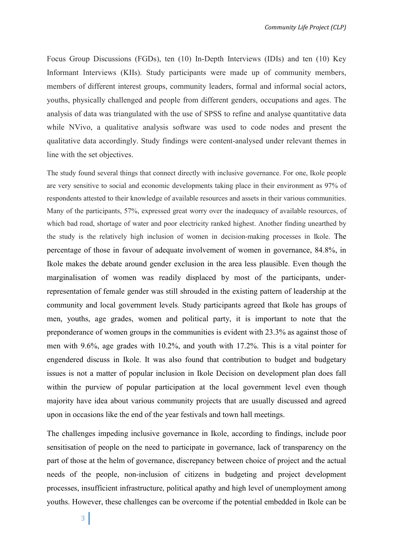Focus Group Discussions (FGDs), ten (10) In-Depth Interviews (IDIs) and ten (10) Key Informant Interviews (KIIs). Study participants were made up of community members, members of different interest groups, community leaders, formal and informal social actors, youths, physically challenged and people from different genders, occupations and ages. The analysis of data was triangulated with the use of SPSS to refine and analyse quantitative data while NVivo, a qualitative analysis software was used to code nodes and present the qualitative data accordingly. Study findings were content-analysed under relevant themes in line with the set objectives.

The study found several things that connect directly with inclusive governance. For one, Ikole people are very sensitive to social and economic developments taking place in their environment as 97% of respondents attested to their knowledge of available resources and assets in their various communities. Many of the participants, 57%, expressed great worry over the inadequacy of available resources, of which bad road, shortage of water and poor electricity ranked highest. Another finding unearthed by the study is the relatively high inclusion of women in decision-making processes in Ikole. The percentage of those in favour of adequate involvement of women in governance, 84.8%, in Ikole makes the debate around gender exclusion in the area less plausible. Even though the marginalisation of women was readily displaced by most of the participants, underrepresentation of female gender was still shrouded in the existing pattern of leadership at the community and local government levels. Study participants agreed that Ikole has groups of men, youths, age grades, women and political party, it is important to note that the preponderance of women groups in the communities is evident with 23.3% as against those of men with 9.6%, age grades with 10.2%, and youth with 17.2%. This is a vital pointer for engendered discuss in Ikole. It was also found that contribution to budget and budgetary issues is not a matter of popular inclusion in Ikole Decision on development plan does fall within the purview of popular participation at the local government level even though majority have idea about various community projects that are usually discussed and agreed upon in occasions like the end of the year festivals and town hall meetings.

The challenges impeding inclusive governance in Ikole, according to findings, include poor sensitisation of people on the need to participate in governance, lack of transparency on the part of those at the helm of governance, discrepancy between choice of project and the actual needs of the people, non-inclusion of citizens in budgeting and project development processes, insufficient infrastructure, political apathy and high level of unemployment among youths. However, these challenges can be overcome if the potential embedded in Ikole can be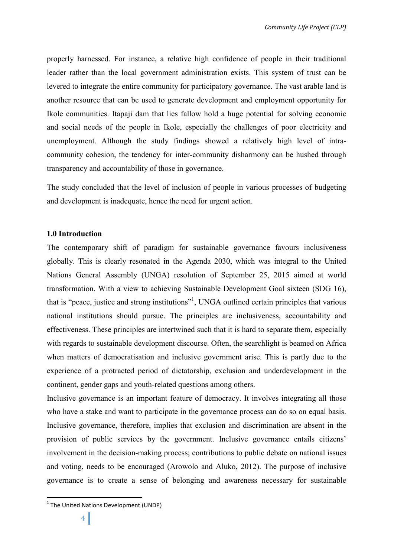properly harnessed. For instance, a relative high confidence of people in their traditional leader rather than the local government administration exists. This system of trust can be levered to integrate the entire community for participatory governance. The vast arable land is another resource that can be used to generate development and employment opportunity for Ikole communities. Itapaji dam that lies fallow hold a huge potential for solving economic and social needs of the people in Ikole, especially the challenges of poor electricity and unemployment. Although the study findings showed a relatively high level of intracommunity cohesion, the tendency for inter-community disharmony can be hushed through transparency and accountability of those in governance.

The study concluded that the level of inclusion of people in various processes of budgeting and development is inadequate, hence the need for urgent action.

# **1.0 Introduction**

The contemporary shift of paradigm for sustainable governance favours inclusiveness globally. This is clearly resonated in the Agenda 2030, which was integral to the United Nations General Assembly (UNGA) resolution of September 25, 2015 aimed at world transformation. With a view to achieving Sustainable Development Goal sixteen (SDG 16), that is "peace, justice and strong institutions"<sup>1</sup>, UNGA outlined certain principles that various national institutions should pursue. The principles are inclusiveness, accountability and effectiveness. These principles are intertwined such that it is hard to separate them, especially with regards to sustainable development discourse. Often, the searchlight is beamed on Africa when matters of democratisation and inclusive government arise. This is partly due to the experience of a protracted period of dictatorship, exclusion and underdevelopment in the continent, gender gaps and youth-related questions among others.

Inclusive governance is an important feature of democracy. It involves integrating all those who have a stake and want to participate in the governance process can do so on equal basis. Inclusive governance, therefore, implies that exclusion and discrimination are absent in the provision of public services by the government. Inclusive governance entails citizens' involvement in the decision-making process; contributions to public debate on national issues and voting, needs to be encouraged (Arowolo and Aluko, 2012). The purpose of inclusive governance is to create a sense of belonging and awareness necessary for sustainable

 $1$  The United Nations Development (UNDP)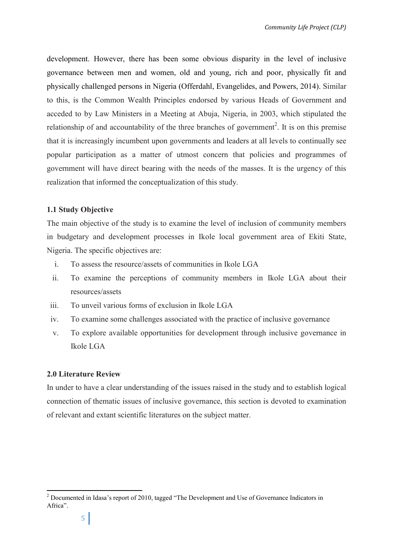development. However, there has been some obvious disparity in the level of inclusive governance between men and women, old and young, rich and poor, physically fit and physically challenged persons in Nigeria (Offerdahl, Evangelides, and Powers, 2014). Similar to this, is the Common Wealth Principles endorsed by various Heads of Government and acceded to by Law Ministers in a Meeting at Abuja, Nigeria, in 2003, which stipulated the relationship of and accountability of the three branches of government<sup>2</sup>. It is on this premise that it is increasingly incumbent upon governments and leaders at all levels to continually see popular participation as a matter of utmost concern that policies and programmes of government will have direct bearing with the needs of the masses. It is the urgency of this realization that informed the conceptualization of this study.

# **1.1 Study Objective**

The main objective of the study is to examine the level of inclusion of community members in budgetary and development processes in Ikole local government area of Ekiti State, Nigeria. The specific objectives are:

- i. To assess the resource/assets of communities in Ikole LGA
- ii. To examine the perceptions of community members in Ikole LGA about their resources/assets
- iii. To unveil various forms of exclusion in Ikole LGA
- iv. To examine some challenges associated with the practice of inclusive governance
- v. To explore available opportunities for development through inclusive governance in Ikole LGA

# **2.0 Literature Review**

In under to have a clear understanding of the issues raised in the study and to establish logical connection of thematic issues of inclusive governance, this section is devoted to examination of relevant and extant scientific literatures on the subject matter.

<sup>&</sup>lt;sup>2</sup> Documented in Idasa's report of 2010, tagged "The Development and Use of Governance Indicators in Africa".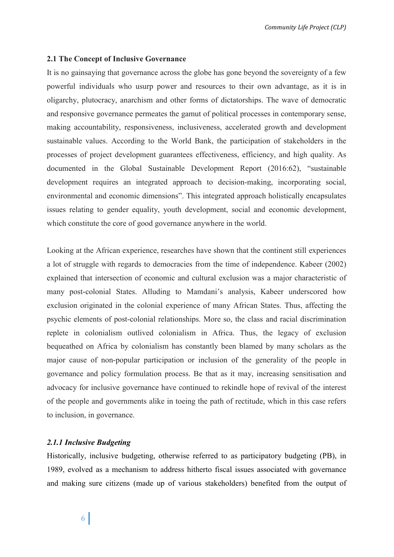# **2.1 The Concept of Inclusive Governance**

It is no gainsaying that governance across the globe has gone beyond the sovereignty of a few powerful individuals who usurp power and resources to their own advantage, as it is in oligarchy, plutocracy, anarchism and other forms of dictatorships. The wave of democratic and responsive governance permeates the gamut of political processes in contemporary sense, making accountability, responsiveness, inclusiveness, accelerated growth and development sustainable values. According to the World Bank, the participation of stakeholders in the processes of project development guarantees effectiveness, efficiency, and high quality. As documented in the Global Sustainable Development Report (2016:62), "sustainable development requires an integrated approach to decision-making, incorporating social, environmental and economic dimensions". This integrated approach holistically encapsulates issues relating to gender equality, youth development, social and economic development, which constitute the core of good governance anywhere in the world.

Looking at the African experience, researches have shown that the continent still experiences a lot of struggle with regards to democracies from the time of independence. Kabeer (2002) explained that intersection of economic and cultural exclusion was a major characteristic of many post-colonial States. Alluding to Mamdani's analysis, Kabeer underscored how exclusion originated in the colonial experience of many African States. Thus, affecting the psychic elements of post-colonial relationships. More so, the class and racial discrimination replete in colonialism outlived colonialism in Africa. Thus, the legacy of exclusion bequeathed on Africa by colonialism has constantly been blamed by many scholars as the major cause of non-popular participation or inclusion of the generality of the people in governance and policy formulation process. Be that as it may, increasing sensitisation and advocacy for inclusive governance have continued to rekindle hope of revival of the interest of the people and governments alike in toeing the path of rectitude, which in this case refers to inclusion, in governance.

# *2.1.1 Inclusive Budgeting*

Historically, inclusive budgeting, otherwise referred to as participatory budgeting (PB), in 1989, evolved as a mechanism to address hitherto fiscal issues associated with governance and making sure citizens (made up of various stakeholders) benefited from the output of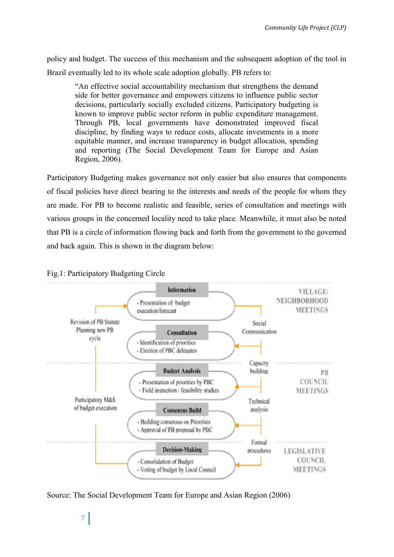policy and budget. The success of this mechanism and the subsequent adoption of the tool in Brazil eventually led to its whole scale adoption globally. PB refers to:

"An effective social accountability mechanism that strengthens the demand side for better governance and empowers citizens to influence public sector decisions, particularly socially excluded citizens. Participatory budgeting is known to improve public sector reform in public expenditure management. Through PB, local governments have demonstrated improved fiscal discipline, by finding ways to reduce costs, allocate investments in a more equitable manner, and increase transparency in budget allocation, spending and reporting (The Social Development Team for Europe and Asian Region, 2006).

Participatory Budgeting makes governance not only easier but also ensures that components of fiscal policies have direct bearing to the interests and needs of the people for whom they are made. For PB to become realistic and feasible, series of consultation and meetings with various groups in the concerned locality need to take place. Meanwhile, it must also be noted that PB is a circle of information flowing back and forth from the government to the governed and back again. This is shown in the diagram below:



Fig.1: Participatory Budgeting Circle

Source: The Social Development Team for Europe and Asian Region (2006)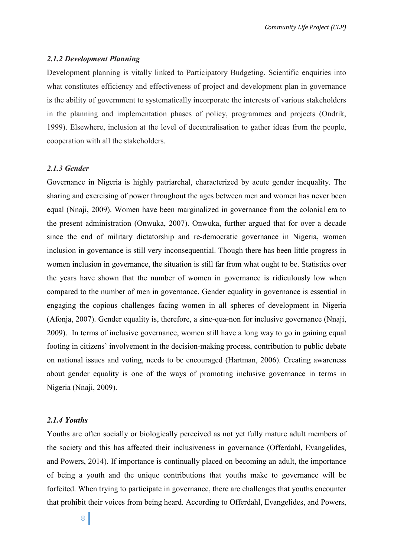# *2.1.2 Development Planning*

Development planning is vitally linked to Participatory Budgeting. Scientific enquiries into what constitutes efficiency and effectiveness of project and development plan in governance is the ability of government to systematically incorporate the interests of various stakeholders in the planning and implementation phases of policy, programmes and projects (Ondrik, 1999). Elsewhere, inclusion at the level of decentralisation to gather ideas from the people, cooperation with all the stakeholders.

# *2.1.3 Gender*

Governance in Nigeria is highly patriarchal, characterized by acute gender inequality. The sharing and exercising of power throughout the ages between men and women has never been equal (Nnaji, 2009). Women have been marginalized in governance from the colonial era to the present administration (Onwuka, 2007). Onwuka, further argued that for over a decade since the end of military dictatorship and re-democratic governance in Nigeria, women inclusion in governance is still very inconsequential. Though there has been little progress in women inclusion in governance, the situation is still far from what ought to be. Statistics over the years have shown that the number of women in governance is ridiculously low when compared to the number of men in governance. Gender equality in governance is essential in engaging the copious challenges facing women in all spheres of development in Nigeria (Afonja, 2007). Gender equality is, therefore, a sine-qua-non for inclusive governance (Nnaji, 2009). In terms of inclusive governance, women still have a long way to go in gaining equal footing in citizens' involvement in the decision-making process, contribution to public debate on national issues and voting, needs to be encouraged (Hartman, 2006). Creating awareness about gender equality is one of the ways of promoting inclusive governance in terms in Nigeria (Nnaji, 2009).

# *2.1.4 Youths*

Youths are often socially or biologically perceived as not yet fully mature adult members of the society and this has affected their inclusiveness in governance (Offerdahl, Evangelides, and Powers, 2014). If importance is continually placed on becoming an adult, the importance of being a youth and the unique contributions that youths make to governance will be forfeited. When trying to participate in governance, there are challenges that youths encounter that prohibit their voices from being heard. According to Offerdahl, Evangelides, and Powers,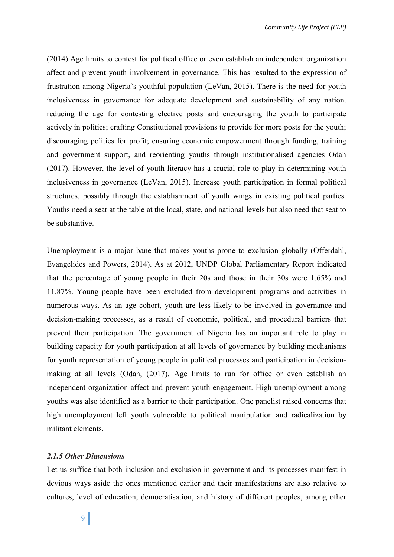(2014) Age limits to contest for political office or even establish an independent organization affect and prevent youth involvement in governance. This has resulted to the expression of frustration among Nigeria's youthful population (LeVan, 2015). There is the need for youth inclusiveness in governance for adequate development and sustainability of any nation. reducing the age for contesting elective posts and encouraging the youth to participate actively in politics; crafting Constitutional provisions to provide for more posts for the youth; discouraging politics for profit; ensuring economic empowerment through funding, training and government support, and reorienting youths through institutionalised agencies Odah (2017). However, the level of youth literacy has a crucial role to play in determining youth inclusiveness in governance (LeVan, 2015). Increase youth participation in formal political structures, possibly through the establishment of youth wings in existing political parties. Youths need a seat at the table at the local, state, and national levels but also need that seat to be substantive.

Unemployment is a major bane that makes youths prone to exclusion globally (Offerdahl, Evangelides and Powers, 2014). As at 2012, UNDP Global Parliamentary Report indicated that the percentage of young people in their 20s and those in their 30s were 1.65% and 11.87%. Young people have been excluded from development programs and activities in numerous ways. As an age cohort, youth are less likely to be involved in governance and decision-making processes, as a result of economic, political, and procedural barriers that prevent their participation. The government of Nigeria has an important role to play in building capacity for youth participation at all levels of governance by building mechanisms for youth representation of young people in political processes and participation in decisionmaking at all levels (Odah, (2017). Age limits to run for office or even establish an independent organization affect and prevent youth engagement. High unemployment among youths was also identified as a barrier to their participation. One panelist raised concerns that high unemployment left youth vulnerable to political manipulation and radicalization by militant elements.

# *2.1.5 Other Dimensions*

Let us suffice that both inclusion and exclusion in government and its processes manifest in devious ways aside the ones mentioned earlier and their manifestations are also relative to cultures, level of education, democratisation, and history of different peoples, among other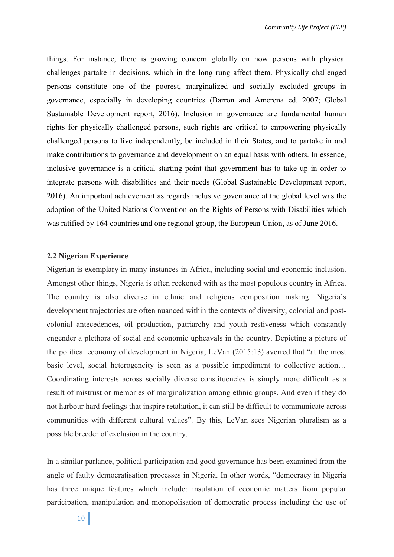things. For instance, there is growing concern globally on how persons with physical challenges partake in decisions, which in the long rung affect them. Physically challenged persons constitute one of the poorest, marginalized and socially excluded groups in governance, especially in developing countries (Barron and Amerena ed. 2007; Global Sustainable Development report, 2016). Inclusion in governance are fundamental human rights for physically challenged persons, such rights are critical to empowering physically challenged persons to live independently, be included in their States, and to partake in and make contributions to governance and development on an equal basis with others. In essence, inclusive governance is a critical starting point that government has to take up in order to integrate persons with disabilities and their needs (Global Sustainable Development report, 2016). An important achievement as regards inclusive governance at the global level was the adoption of the United Nations Convention on the Rights of Persons with Disabilities which was ratified by 164 countries and one regional group, the European Union, as of June 2016.

#### **2.2 Nigerian Experience**

Nigerian is exemplary in many instances in Africa, including social and economic inclusion. Amongst other things, Nigeria is often reckoned with as the most populous country in Africa. The country is also diverse in ethnic and religious composition making. Nigeria's development trajectories are often nuanced within the contexts of diversity, colonial and postcolonial antecedences, oil production, patriarchy and youth restiveness which constantly engender a plethora of social and economic upheavals in the country. Depicting a picture of the political economy of development in Nigeria, LeVan (2015:13) averred that "at the most basic level, social heterogeneity is seen as a possible impediment to collective action… Coordinating interests across socially diverse constituencies is simply more difficult as a result of mistrust or memories of marginalization among ethnic groups. And even if they do not harbour hard feelings that inspire retaliation, it can still be difficult to communicate across communities with different cultural values". By this, LeVan sees Nigerian pluralism as a possible breeder of exclusion in the country.

In a similar parlance, political participation and good governance has been examined from the angle of faulty democratisation processes in Nigeria. In other words, "democracy in Nigeria has three unique features which include: insulation of economic matters from popular participation, manipulation and monopolisation of democratic process including the use of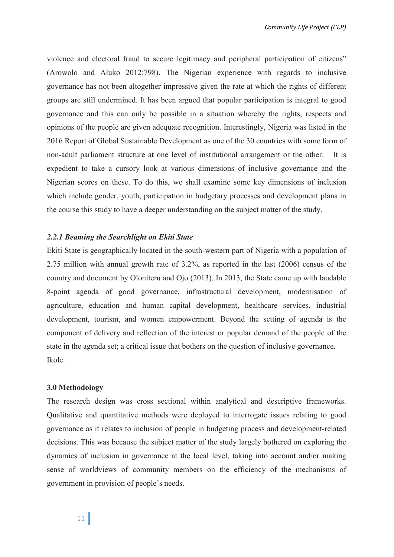violence and electoral fraud to secure legitimacy and peripheral participation of citizens" (Arowolo and Aluko 2012:798). The Nigerian experience with regards to inclusive governance has not been altogether impressive given the rate at which the rights of different groups are still undermined. It has been argued that popular participation is integral to good governance and this can only be possible in a situation whereby the rights, respects and opinions of the people are given adequate recognition. Interestingly, Nigeria was listed in the 2016 Report of Global Sustainable Development as one of the 30 countries with some form of non-adult parliament structure at one level of institutional arrangement or the other. It is expedient to take a cursory look at various dimensions of inclusive governance and the Nigerian scores on these. To do this, we shall examine some key dimensions of inclusion which include gender, youth, participation in budgetary processes and development plans in the course this study to have a deeper understanding on the subject matter of the study.

# *2.2.1 Beaming the Searchlight on Ekiti State*

Ekiti State is geographically located in the south-western part of Nigeria with a population of 2.75 million with annual growth rate of 3.2%, as reported in the last (2006) census of the country and document by Oloniteru and Ojo (2013). In 2013, the State came up with laudable 8-point agenda of good governance, infrastructural development, modernisation of agriculture, education and human capital development, healthcare services, industrial development, tourism, and women empowerment. Beyond the setting of agenda is the component of delivery and reflection of the interest or popular demand of the people of the state in the agenda set; a critical issue that bothers on the question of inclusive governance. Ikole.

#### **3.0 Methodology**

The research design was cross sectional within analytical and descriptive frameworks. Qualitative and quantitative methods were deployed to interrogate issues relating to good governance as it relates to inclusion of people in budgeting process and development-related decisions. This was because the subject matter of the study largely bothered on exploring the dynamics of inclusion in governance at the local level, taking into account and/or making sense of worldviews of community members on the efficiency of the mechanisms of government in provision of people's needs.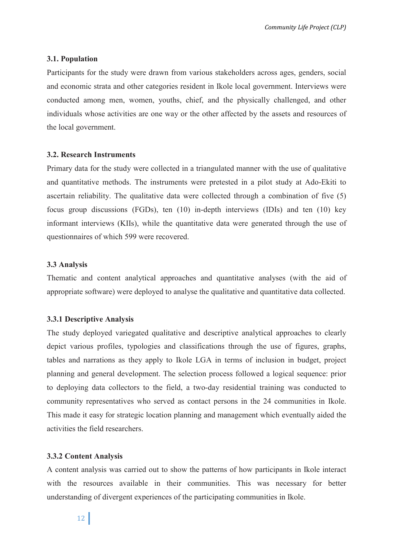# **3.1. Population**

Participants for the study were drawn from various stakeholders across ages, genders, social and economic strata and other categories resident in Ikole local government. Interviews were conducted among men, women, youths, chief, and the physically challenged, and other individuals whose activities are one way or the other affected by the assets and resources of the local government.

# **3.2. Research Instruments**

Primary data for the study were collected in a triangulated manner with the use of qualitative and quantitative methods. The instruments were pretested in a pilot study at Ado-Ekiti to ascertain reliability. The qualitative data were collected through a combination of five (5) focus group discussions (FGDs), ten (10) in-depth interviews (IDIs) and ten (10) key informant interviews (KIIs), while the quantitative data were generated through the use of questionnaires of which 599 were recovered.

# **3.3 Analysis**

Thematic and content analytical approaches and quantitative analyses (with the aid of appropriate software) were deployed to analyse the qualitative and quantitative data collected.

# **3.3.1 Descriptive Analysis**

The study deployed variegated qualitative and descriptive analytical approaches to clearly depict various profiles, typologies and classifications through the use of figures, graphs, tables and narrations as they apply to Ikole LGA in terms of inclusion in budget, project planning and general development. The selection process followed a logical sequence: prior to deploying data collectors to the field, a two-day residential training was conducted to community representatives who served as contact persons in the 24 communities in Ikole. This made it easy for strategic location planning and management which eventually aided the activities the field researchers.

# **3.3.2 Content Analysis**

A content analysis was carried out to show the patterns of how participants in Ikole interact with the resources available in their communities. This was necessary for better understanding of divergent experiences of the participating communities in Ikole.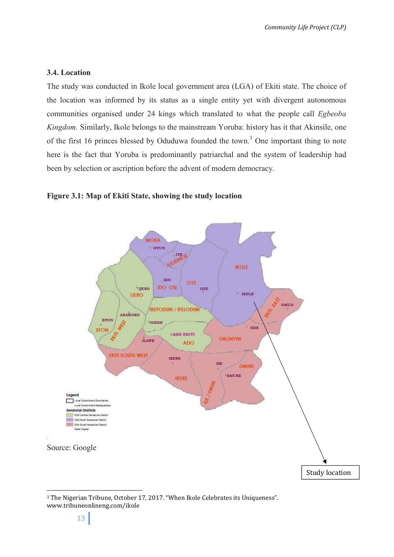# **3.4. Location**

The study was conducted in Ikole local government area (LGA) of Ekiti state. The choice of the location was informed by its status as a single entity yet with divergent autonomous communities organised under 24 kings which translated to what the people call *Egbeoba Kingdom.* Similarly, Ikole belongs to the mainstream Yoruba: history has it that Akinsile, one of the first 16 princes blessed by Oduduwa founded the town.<sup>3</sup> One important thing to note here is the fact that Yoruba is predominantly patriarchal and the system of leadership had been by selection or ascription before the advent of modern democracy.





<sup>3</sup> The Nigerian Tribune, October 17, 2017. "When Ikole Celebrates its Uniqueness". www.tribuneonlineng.com/ikole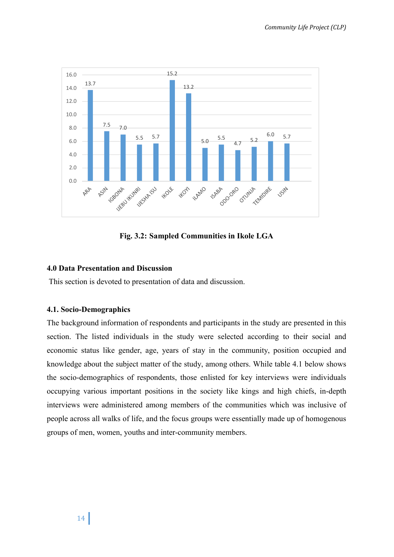

**Fig. 3.2: Sampled Communities in Ikole LGA**

# **4.0 Data Presentation and Discussion**

This section is devoted to presentation of data and discussion.

# **4.1. Socio-Demographics**

The background information of respondents and participants in the study are presented in this section. The listed individuals in the study were selected according to their social and economic status like gender, age, years of stay in the community, position occupied and knowledge about the subject matter of the study, among others. While table 4.1 below shows the socio-demographics of respondents, those enlisted for key interviews were individuals occupying various important positions in the society like kings and high chiefs, in-depth interviews were administered among members of the communities which was inclusive of people across all walks of life, and the focus groups were essentially made up of homogenous groups of men, women, youths and inter-community members.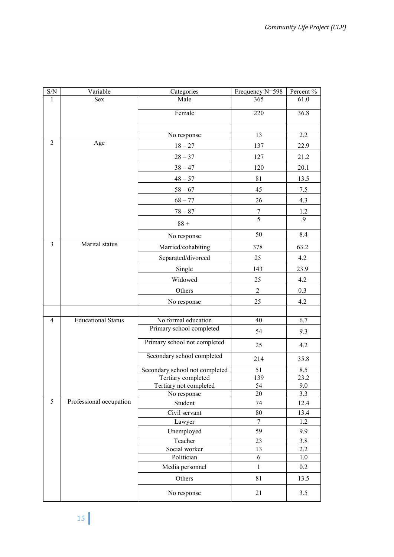| $\ensuremath{\mathrm{S/N}}$ | Variable                  | Categories                     | Frequency N=598 | Percent % |
|-----------------------------|---------------------------|--------------------------------|-----------------|-----------|
| $\mathbf{1}$                | Sex                       | Male                           | 365             | 61.0      |
|                             |                           | Female                         | 220             | 36.8      |
|                             |                           |                                |                 |           |
|                             |                           | No response                    | 13              | 2.2       |
| 2                           | Age                       | $18 - 27$                      | 137             | 22.9      |
|                             |                           | $28 - 37$                      | 127             | 21.2      |
|                             |                           | $38 - 47$                      | 120             | 20.1      |
|                             |                           | $48 - 57$                      | 81              | 13.5      |
|                             |                           | $58 - 67$                      | 45              | 7.5       |
|                             |                           | $68 - 77$                      | 26              | 4.3       |
|                             |                           | $78 - 87$                      | $\overline{7}$  | 1.2       |
|                             |                           | $88 +$                         | $\overline{5}$  | .9        |
|                             |                           | No response                    | 50              | 8.4       |
| 3                           | Marital status            | Married/cohabiting             | 378             | 63.2      |
|                             |                           | Separated/divorced             | 25              | 4.2       |
|                             |                           | Single                         | 143             | 23.9      |
|                             |                           | Widowed                        | 25              | 4.2       |
|                             |                           | Others                         | $\overline{2}$  | 0.3       |
|                             |                           | No response                    | 25              | 4.2       |
|                             |                           |                                |                 |           |
| $\overline{4}$              | <b>Educational Status</b> | No formal education            | 40              | 6.7       |
|                             |                           | Primary school completed       | 54              | 9.3       |
|                             |                           | Primary school not completed   | 25              | 4.2       |
|                             |                           | Secondary school completed     | 214             | 35.8      |
|                             |                           | Secondary school not completed | 51              | 8.5       |
|                             |                           | Tertiary completed             | 139             | 23.2      |
|                             |                           | Tertiary not completed         | 54              | 9.0       |
|                             |                           | No response                    | 20              | 3.3       |
| 5                           | Professional occupation   | Student                        | 74              | 12.4      |
|                             |                           | Civil servant                  | 80              | 13.4      |
|                             |                           | Lawyer                         | 7               | 1.2       |
|                             |                           | Unemployed                     | 59              | 9.9       |
|                             |                           | Teacher                        | 23              | 3.8       |
|                             |                           | Social worker                  | 13              | 2.2       |
|                             |                           | Politician                     | 6               | 1.0       |
|                             |                           | Media personnel                | $\mathbf{1}$    | 0.2       |
|                             |                           | Others                         | 81              | 13.5      |
|                             |                           | No response                    | 21              | 3.5       |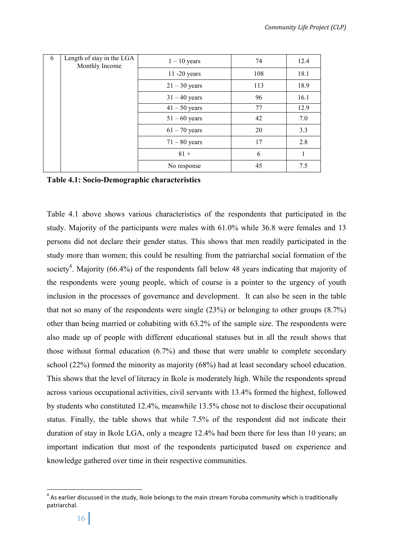| 6 | Length of stay in the LGA<br>Monthly Income | $1 - 10$ years  | 74  | 12.4 |
|---|---------------------------------------------|-----------------|-----|------|
|   |                                             | 11 -20 years    | 108 | 18.1 |
|   |                                             | $21 - 30$ years | 113 | 18.9 |
|   |                                             | $31 - 40$ years | 96  | 16.1 |
|   |                                             | $41 - 50$ years | 77  | 12.9 |
|   |                                             | $51 - 60$ years | 42  | 7.0  |
|   |                                             | $61 - 70$ years | 20  | 3.3  |
|   |                                             | $71 - 80$ years | 17  | 2.8  |
|   |                                             | $81 +$          | 6   |      |
|   |                                             | No response     | 45  | 7.5  |

**Table 4.1: Socio-Demographic characteristics**

Table 4.1 above shows various characteristics of the respondents that participated in the study. Majority of the participants were males with 61.0% while 36.8 were females and 13 persons did not declare their gender status. This shows that men readily participated in the study more than women; this could be resulting from the patriarchal social formation of the society<sup>4</sup>. Majority (66.4%) of the respondents fall below 48 years indicating that majority of the respondents were young people, which of course is a pointer to the urgency of youth inclusion in the processes of governance and development. It can also be seen in the table that not so many of the respondents were single (23%) or belonging to other groups (8.7%) other than being married or cohabiting with 63.2% of the sample size. The respondents were also made up of people with different educational statuses but in all the result shows that those without formal education (6.7%) and those that were unable to complete secondary school (22%) formed the minority as majority (68%) had at least secondary school education. This shows that the level of literacy in Ikole is moderately high. While the respondents spread across various occupational activities, civil servants with 13.4% formed the highest, followed by students who constituted 12.4%, meanwhile 13.5% chose not to disclose their occupational status. Finally, the table shows that while 7.5% of the respondent did not indicate their duration of stay in Ikole LGA, only a meagre 12.4% had been there for less than 10 years; an important indication that most of the respondents participated based on experience and knowledge gathered over time in their respective communities.

 $4$  As earlier discussed in the study, Ikole belongs to the main stream Yoruba community which is traditionally patriarchal.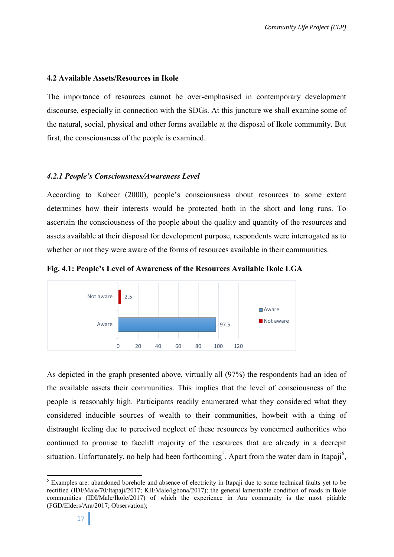# **4.2 Available Assets/Resources in Ikole**

The importance of resources cannot be over-emphasised in contemporary development discourse, especially in connection with the SDGs. At this juncture we shall examine some of the natural, social, physical and other forms available at the disposal of Ikole community. But first, the consciousness of the people is examined.

# *4.2.1 People's Consciousness/Awareness Level*

According to Kabeer (2000), people's consciousness about resources to some extent determines how their interests would be protected both in the short and long runs. To ascertain the consciousness of the people about the quality and quantity of the resources and assets available at their disposal for development purpose, respondents were interrogated as to whether or not they were aware of the forms of resources available in their communities.

**Fig. 4.1: People's Level of Awareness of the Resources Available Ikole LGA**



As depicted in the graph presented above, virtually all (97%) the respondents had an idea of the available assets their communities. This implies that the level of consciousness of the people is reasonably high. Participants readily enumerated what they considered what they considered inducible sources of wealth to their communities, howbeit with a thing of distraught feeling due to perceived neglect of these resources by concerned authorities who continued to promise to facelift majority of the resources that are already in a decrepit situation. Unfortunately, no help had been forthcoming<sup>5</sup>. Apart from the water dam in Itapaji<sup>6</sup>,

<sup>&</sup>lt;sup>5</sup> Examples are: abandoned borehole and absence of electricity in Itapaji due to some technical faults yet to be rectified (IDI/Male/70/Itapaji/2017; KII/Male/Igbona/2017); the general lamentable condition of roads in Ikole communities (IDI/Male/Ikole/2017) of which the experience in Ara community is the most pitiable (FGD/Elders/Ara/2017; Observation);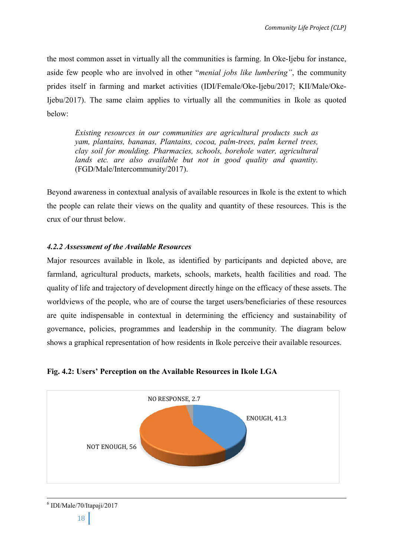the most common asset in virtually all the communities is farming. In Oke-Ijebu for instance, aside few people who are involved in other "*menial jobs like lumbering"*, the community prides itself in farming and market activities (IDI/Female/Oke-Ijebu/2017; KII/Male/Oke-Ijebu/2017). The same claim applies to virtually all the communities in Ikole as quoted below:

*Existing resources in our communities are agricultural products such as yam, plantains, bananas, Plantains, cocoa, palm-trees, palm kernel trees, clay soil for moulding. Pharmacies, schools, borehole water, agricultural lands etc. are also available but not in good quality and quantity.*  (FGD/Male/Intercommunity/2017).

Beyond awareness in contextual analysis of available resources in Ikole is the extent to which the people can relate their views on the quality and quantity of these resources. This is the crux of our thrust below.

# *4.2.2 Assessment of the Available Resources*

Major resources available in Ikole, as identified by participants and depicted above, are farmland, agricultural products, markets, schools, markets, health facilities and road. The quality of life and trajectory of development directly hinge on the efficacy of these assets. The worldviews of the people, who are of course the target users/beneficiaries of these resources are quite indispensable in contextual in determining the efficiency and sustainability of governance, policies, programmes and leadership in the community. The diagram below shows a graphical representation of how residents in Ikole perceive their available resources.





 $6$  IDI/Male/70/Itapaji/2017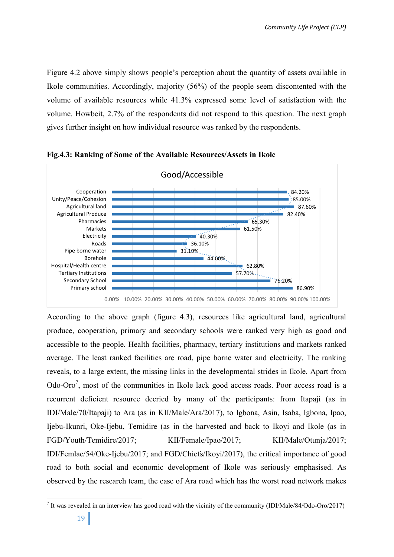Figure 4.2 above simply shows people's perception about the quantity of assets available in Ikole communities. Accordingly, majority (56%) of the people seem discontented with the volume of available resources while 41.3% expressed some level of satisfaction with the volume. Howbeit, 2.7% of the respondents did not respond to this question. The next graph gives further insight on how individual resource was ranked by the respondents.



**Fig.4.3: Ranking of Some of the Available Resources/Assets in Ikole**

According to the above graph (figure 4.3), resources like agricultural land, agricultural produce, cooperation, primary and secondary schools were ranked very high as good and accessible to the people. Health facilities, pharmacy, tertiary institutions and markets ranked average. The least ranked facilities are road, pipe borne water and electricity. The ranking reveals, to a large extent, the missing links in the developmental strides in Ikole. Apart from Odo-Oro<sup>7</sup>, most of the communities in Ikole lack good access roads. Poor access road is a recurrent deficient resource decried by many of the participants: from Itapaji (as in IDI/Male/70/Itapaji) to Ara (as in KII/Male/Ara/2017), to Igbona, Asin, Isaba, Igbona, Ipao, Ijebu-Ikunri, Oke-Ijebu, Temidire (as in the harvested and back to Ikoyi and Ikole (as in FGD/Youth/Temidire/2017; KII/Female/Ipao/2017; KII/Male/Otunja/2017; IDI/Femlae/54/Oke-Ijebu/2017; and FGD/Chiefs/Ikoyi/2017), the critical importance of good road to both social and economic development of Ikole was seriously emphasised. As observed by the research team, the case of Ara road which has the worst road network makes

<sup>7</sup> It was revealed in an interview has good road with the vicinity of the community (IDI/Male/84/Odo-Oro/2017)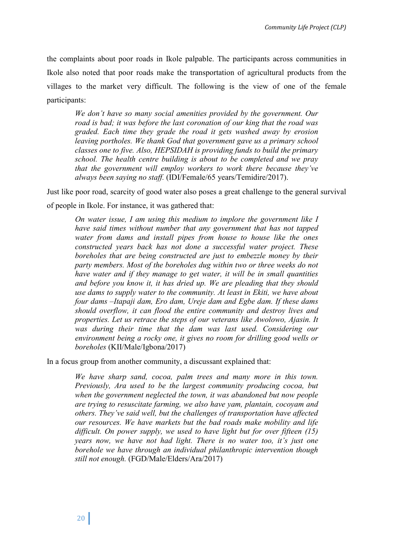the complaints about poor roads in Ikole palpable. The participants across communities in Ikole also noted that poor roads make the transportation of agricultural products from the villages to the market very difficult. The following is the view of one of the female participants:

*We don't have so many social amenities provided by the government. Our road is bad; it was before the last coronation of our king that the road was graded. Each time they grade the road it gets washed away by erosion leaving portholes. We thank God that government gave us a primary school classes one to five. Also, HEPSIDAH is providing funds to build the primary school. The health centre building is about to be completed and we pray that the government will employ workers to work there because they've always been saying no staff.* (IDI/Female/65 years/Temidire/2017).

Just like poor road, scarcity of good water also poses a great challenge to the general survival of people in Ikole. For instance, it was gathered that:

*On water issue, I am using this medium to implore the government like I have said times without number that any government that has not tapped water from dams and install pipes from house to house like the ones constructed years back has not done a successful water project. These boreholes that are being constructed are just to embezzle money by their party members. Most of the boreholes dug within two or three weeks do not have water and if they manage to get water, it will be in small quantities and before you know it, it has dried up. We are pleading that they should use dams to supply water to the community. At least in Ekiti, we have about four dams –Itapaji dam, Ero dam, Ureje dam and Egbe dam. If these dams should overflow, it can flood the entire community and destroy lives and properties. Let us retrace the steps of our veterans like Awolowo, Ajasin. It was during their time that the dam was last used. Considering our environment being a rocky one, it gives no room for drilling good wells or boreholes* (KII/Male/Igbona/2017)

In a focus group from another community, a discussant explained that:

*We have sharp sand, cocoa, palm trees and many more in this town. Previously, Ara used to be the largest community producing cocoa, but when the government neglected the town, it was abandoned but now people are trying to resuscitate farming, we also have yam, plantain, cocoyam and others. They've said well, but the challenges of transportation have affected our resources. We have markets but the bad roads make mobility and life difficult. On power supply, we used to have light but for over fifteen (15) years now, we have not had light. There is no water too, it's just one borehole we have through an individual philanthropic intervention though still not enough.* (FGD/Male/Elders/Ara/2017)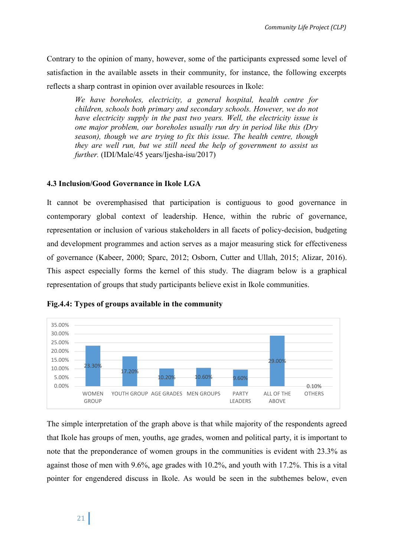Contrary to the opinion of many, however, some of the participants expressed some level of satisfaction in the available assets in their community, for instance, the following excerpts reflects a sharp contrast in opinion over available resources in Ikole:

*We have boreholes, electricity, a general hospital, health centre for children, schools both primary and secondary schools. However, we do not have electricity supply in the past two years. Well, the electricity issue is one major problem, our boreholes usually run dry in period like this (Dry season), though we are trying to fix this issue. The health centre, though they are well run, but we still need the help of government to assist us further.* (IDI/Male/45 years/Ijesha-isu/2017)

# **4.3 Inclusion/Good Governance in Ikole LGA**

It cannot be overemphasised that participation is contiguous to good governance in contemporary global context of leadership. Hence, within the rubric of governance, representation or inclusion of various stakeholders in all facets of policy-decision, budgeting and development programmes and action serves as a major measuring stick for effectiveness of governance (Kabeer, 2000; Sparc, 2012; Osborn, Cutter and Ullah, 2015; Alizar, 2016). This aspect especially forms the kernel of this study. The diagram below is a graphical representation of groups that study participants believe exist in Ikole communities.



# **Fig.4.4: Types of groups available in the community**

The simple interpretation of the graph above is that while majority of the respondents agreed that Ikole has groups of men, youths, age grades, women and political party, it is important to note that the preponderance of women groups in the communities is evident with 23.3% as against those of men with 9.6%, age grades with 10.2%, and youth with 17.2%. This is a vital pointer for engendered discuss in Ikole. As would be seen in the subthemes below, even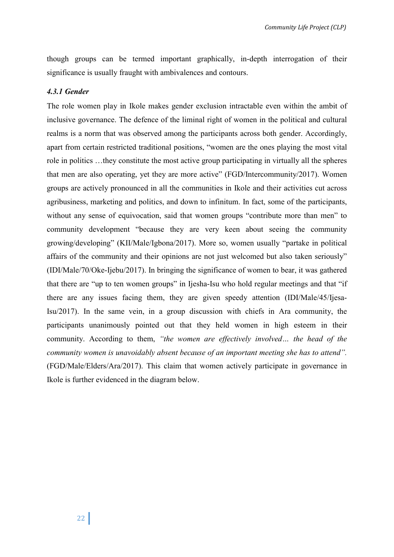though groups can be termed important graphically, in-depth interrogation of their significance is usually fraught with ambivalences and contours.

# *4.3.1 Gender*

The role women play in Ikole makes gender exclusion intractable even within the ambit of inclusive governance. The defence of the liminal right of women in the political and cultural realms is a norm that was observed among the participants across both gender. Accordingly, apart from certain restricted traditional positions, "women are the ones playing the most vital role in politics …they constitute the most active group participating in virtually all the spheres that men are also operating, yet they are more active" (FGD/Intercommunity/2017). Women groups are actively pronounced in all the communities in Ikole and their activities cut across agribusiness, marketing and politics, and down to infinitum. In fact, some of the participants, without any sense of equivocation, said that women groups "contribute more than men" to community development "because they are very keen about seeing the community growing/developing" (KII/Male/Igbona/2017). More so, women usually "partake in political affairs of the community and their opinions are not just welcomed but also taken seriously" (IDI/Male/70/Oke-Ijebu/2017). In bringing the significance of women to bear, it was gathered that there are "up to ten women groups" in Ijesha-Isu who hold regular meetings and that "if there are any issues facing them, they are given speedy attention (IDI/Male/45/Ijesa-Isu/2017). In the same vein, in a group discussion with chiefs in Ara community, the participants unanimously pointed out that they held women in high esteem in their community. According to them, *"the women are effectively involved… the head of the community women is unavoidably absent because of an important meeting she has to attend".*  (FGD/Male/Elders/Ara/2017). This claim that women actively participate in governance in Ikole is further evidenced in the diagram below.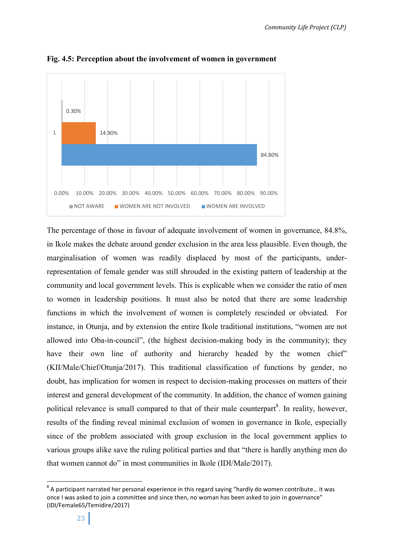

**Fig. 4.5: Perception about the involvement of women in government**

The percentage of those in favour of adequate involvement of women in governance, 84.8%, in Ikole makes the debate around gender exclusion in the area less plausible. Even though, the marginalisation of women was readily displaced by most of the participants, underrepresentation of female gender was still shrouded in the existing pattern of leadership at the community and local government levels. This is explicable when we consider the ratio of men to women in leadership positions. It must also be noted that there are some leadership functions in which the involvement of women is completely rescinded or obviated. For instance, in Otunja, and by extension the entire Ikole traditional institutions, "women are not allowed into Oba-in-council", (the highest decision-making body in the community); they have their own line of authority and hierarchy headed by the women chief" (KII/Male/Chief/Otunja/2017). This traditional classification of functions by gender, no doubt, has implication for women in respect to decision-making processes on matters of their interest and general development of the community. In addition, the chance of women gaining political relevance is small compared to that of their male counterpart<sup>8</sup>. In reality, however, results of the finding reveal minimal exclusion of women in governance in Ikole, especially since of the problem associated with group exclusion in the local government applies to various groups alike save the ruling political parties and that "there is hardly anything men do that women cannot do" in most communities in Ikole (IDI/Male/2017).

 $8$  A participant narrated her personal experience in this regard saying "hardly do women contribute... it was once I was asked to join a committee and since then, no woman has been asked to join in governance" (IDI/Female65/Temidire/2017)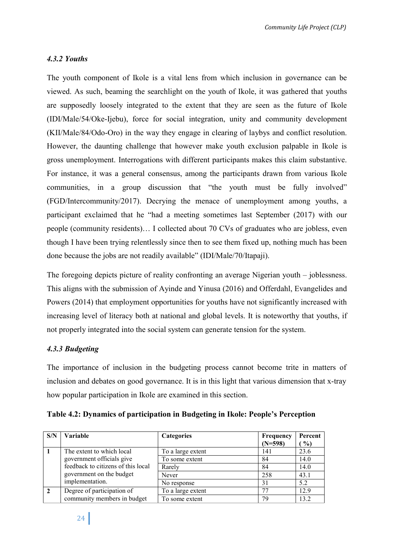# *4.3.2 Youths*

The youth component of Ikole is a vital lens from which inclusion in governance can be viewed. As such, beaming the searchlight on the youth of Ikole, it was gathered that youths are supposedly loosely integrated to the extent that they are seen as the future of Ikole (IDI/Male/54/Oke-Ijebu), force for social integration, unity and community development (KII/Male/84/Odo-Oro) in the way they engage in clearing of laybys and conflict resolution. However, the daunting challenge that however make youth exclusion palpable in Ikole is gross unemployment. Interrogations with different participants makes this claim substantive. For instance, it was a general consensus, among the participants drawn from various Ikole communities, in a group discussion that "the youth must be fully involved" (FGD/Intercommunity/2017). Decrying the menace of unemployment among youths, a participant exclaimed that he "had a meeting sometimes last September (2017) with our people (community residents)… I collected about 70 CVs of graduates who are jobless, even though I have been trying relentlessly since then to see them fixed up, nothing much has been done because the jobs are not readily available" (IDI/Male/70/Itapaji).

The foregoing depicts picture of reality confronting an average Nigerian youth – joblessness. This aligns with the submission of Ayinde and Yinusa (2016) and Offerdahl, Evangelides and Powers (2014) that employment opportunities for youths have not significantly increased with increasing level of literacy both at national and global levels. It is noteworthy that youths, if not properly integrated into the social system can generate tension for the system.

# *4.3.3 Budgeting*

The importance of inclusion in the budgeting process cannot become trite in matters of inclusion and debates on good governance. It is in this light that various dimension that x-tray how popular participation in Ikole are examined in this section.

**Table 4.2: Dynamics of participation in Budgeting in Ikole: People's Perception**

| S/N            | <b>Variable</b>                    | <b>Categories</b> | Frequency | Percent |
|----------------|------------------------------------|-------------------|-----------|---------|
|                |                                    |                   | $(N=598)$ | $\%$    |
|                | The extent to which local          | To a large extent | 141       | 23.6    |
|                | government officials give          | To some extent    | 84        | 14.0    |
|                | feedback to citizens of this local | Rarely            | 84        | 14.0    |
|                | government on the budget           | Never             | 258       | 43.1    |
|                | implementation.                    | No response       | 31        | 5.2     |
| $\overline{2}$ | Degree of participation of         | To a large extent |           | 12.9    |
|                | community members in budget        | To some extent    | 79        | 13.2    |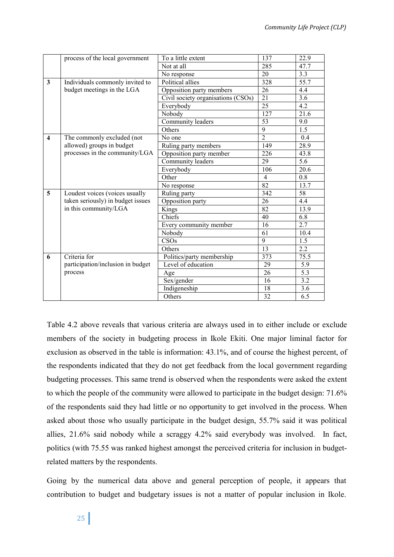|                         | process of the local government   | To a little extent                 | 137             | 22.9             |
|-------------------------|-----------------------------------|------------------------------------|-----------------|------------------|
|                         |                                   | Not at all                         | 285             | 47.7             |
|                         |                                   | No response                        | 20              | 3.3              |
| 3                       | Individuals commonly invited to   | Political allies                   | 328             | 55.7             |
|                         | budget meetings in the LGA        | Opposition party members           | 26              | 4.4              |
|                         |                                   | Civil society organisations (CSOs) | 21              | 3.6              |
|                         |                                   | Everybody                          | 25              | 4.2              |
|                         |                                   | Nobody                             | 127             | 21.6             |
|                         |                                   | Community leaders                  | 53              | 9.0              |
|                         |                                   | Others                             | $\overline{9}$  | 1.5              |
| $\overline{\mathbf{4}}$ | The commonly excluded (not        | No one                             | $\overline{2}$  | 0.4              |
|                         | allowed) groups in budget         | Ruling party members               | 149             | 28.9             |
|                         | processes in the community/LGA    | Opposition party member            | 226             | 43.8             |
|                         |                                   | Community leaders                  | 29              | 5.6              |
|                         |                                   | Everybody                          | 106             | 20.6             |
|                         |                                   | Other                              | $\overline{4}$  | 0.8              |
|                         |                                   | No response                        | $\overline{82}$ | 13.7             |
| 5                       | Loudest voices (voices usually    | Ruling party                       | 342             | 58               |
|                         | taken seriously) in budget issues | Opposition party                   | 26              | 4.4              |
|                         | in this community/LGA             | Kings                              | $\overline{82}$ | 13.9             |
|                         |                                   | Chiefs                             | 40              | 6.8              |
|                         |                                   | Every community member             | $\overline{16}$ | 2.7              |
|                         |                                   | Nobody                             | 61              | 10.4             |
|                         |                                   | $\overline{\text{CSOs}}$           | $\overline{9}$  | 1.5              |
|                         |                                   | Others                             | 13              | $2.\overline{2}$ |
| 6                       | Criteria for                      | Politics/party membership          | 373             | 75.5             |
|                         | participation/inclusion in budget | Level of education                 | 29              | $\overline{5.9}$ |
|                         | process                           | Age                                | 26              | 5.3              |
|                         |                                   | Sex/gender                         | 16              | $\overline{3.2}$ |
|                         |                                   | Indigeneship                       | $\overline{18}$ | $\overline{3.6}$ |
|                         |                                   | Others                             | 32              | 6.5              |

Table 4.2 above reveals that various criteria are always used in to either include or exclude members of the society in budgeting process in Ikole Ekiti. One major liminal factor for exclusion as observed in the table is information: 43.1%, and of course the highest percent, of the respondents indicated that they do not get feedback from the local government regarding budgeting processes. This same trend is observed when the respondents were asked the extent to which the people of the community were allowed to participate in the budget design: 71.6% of the respondents said they had little or no opportunity to get involved in the process. When asked about those who usually participate in the budget design, 55.7% said it was political allies, 21.6% said nobody while a scraggy 4.2% said everybody was involved. In fact, politics (with 75.55 was ranked highest amongst the perceived criteria for inclusion in budgetrelated matters by the respondents.

Going by the numerical data above and general perception of people, it appears that contribution to budget and budgetary issues is not a matter of popular inclusion in Ikole.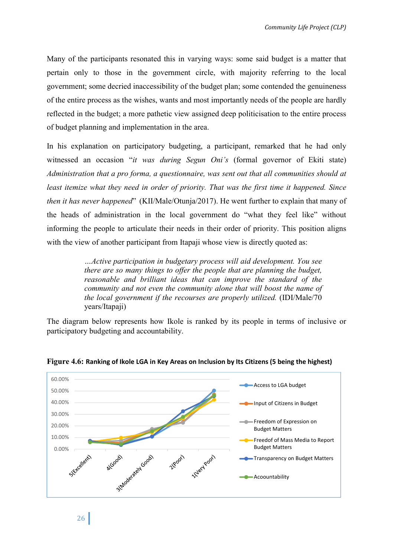Many of the participants resonated this in varying ways: some said budget is a matter that pertain only to those in the government circle, with majority referring to the local government; some decried inaccessibility of the budget plan; some contended the genuineness of the entire process as the wishes, wants and most importantly needs of the people are hardly reflected in the budget; a more pathetic view assigned deep politicisation to the entire process of budget planning and implementation in the area.

In his explanation on participatory budgeting, a participant, remarked that he had only witnessed an occasion "*it was during Segun Oni's* (formal governor of Ekiti state) *Administration that a pro forma, a questionnaire, was sent out that all communities should at least itemize what they need in order of priority. That was the first time it happened. Since then it has never happened*" (KII/Male/Otunja/2017). He went further to explain that many of the heads of administration in the local government do "what they feel like" without informing the people to articulate their needs in their order of priority. This position aligns with the view of another participant from Itapaji whose view is directly quoted as:

> *…Active participation in budgetary process will aid development. You see there are so many things to offer the people that are planning the budget, reasonable and brilliant ideas that can improve the standard of the community and not even the community alone that will boost the name of the local government if the recourses are properly utilized.* (IDI/Male/70 years/Itapaji)

The diagram below represents how Ikole is ranked by its people in terms of inclusive or participatory budgeting and accountability.



# **Figure 4.6: Ranking of Ikole LGA in Key Areas on Inclusion by Its Citizens (5 being the highest)**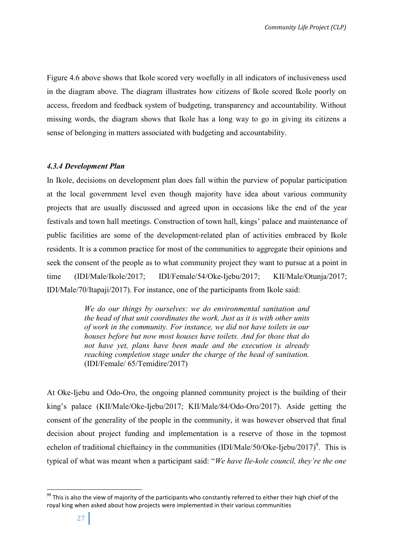Figure 4.6 above shows that Ikole scored very woefully in all indicators of inclusiveness used in the diagram above. The diagram illustrates how citizens of Ikole scored Ikole poorly on access, freedom and feedback system of budgeting, transparency and accountability. Without missing words, the diagram shows that Ikole has a long way to go in giving its citizens a sense of belonging in matters associated with budgeting and accountability.

# *4.3.4 Development Plan*

In Ikole, decisions on development plan does fall within the purview of popular participation at the local government level even though majority have idea about various community projects that are usually discussed and agreed upon in occasions like the end of the year festivals and town hall meetings. Construction of town hall, kings' palace and maintenance of public facilities are some of the development-related plan of activities embraced by Ikole residents. It is a common practice for most of the communities to aggregate their opinions and seek the consent of the people as to what community project they want to pursue at a point in time (IDI/Male/Ikole/2017; IDI/Female/54/Oke-Ijebu/2017; KII/Male/Otunja/2017; IDI/Male/70/Itapaji/2017). For instance, one of the participants from Ikole said:

> *We do our things by ourselves: we do environmental sanitation and the head of that unit coordinates the work. Just as it is with other units of work in the community. For instance, we did not have toilets in our houses before but now most houses have toilets. And for those that do not have yet, plans have been made and the execution is already reaching completion stage under the charge of the head of sanitation.* (IDI/Female/ 65/Temidire/2017)

At Oke-Ijebu and Odo-Oro, the ongoing planned community project is the building of their king's palace (KII/Male/Oke-Ijebu/2017; KII/Male/84/Odo-Oro/2017). Aside getting the consent of the generality of the people in the community, it was however observed that final decision about project funding and implementation is a reserve of those in the topmost echelon of traditional chieftaincy in the communities (IDI/Male/50/Oke-Ijebu/2017)<sup>9</sup>. This is typical of what was meant when a participant said: "*We have Ile-kole council, they're the one* 

 $99$  This is also the view of majority of the participants who constantly referred to either their high chief of the royal king when asked about how projects were implemented in their various communities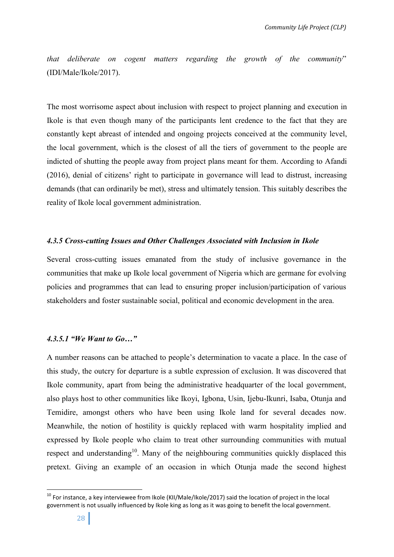*that deliberate on cogent matters regarding the growth of the community*" (IDI/Male/Ikole/2017).

The most worrisome aspect about inclusion with respect to project planning and execution in Ikole is that even though many of the participants lent credence to the fact that they are constantly kept abreast of intended and ongoing projects conceived at the community level, the local government, which is the closest of all the tiers of government to the people are indicted of shutting the people away from project plans meant for them. According to Afandi (2016), denial of citizens' right to participate in governance will lead to distrust, increasing demands (that can ordinarily be met), stress and ultimately tension. This suitably describes the reality of Ikole local government administration.

#### *4.3.5 Cross-cutting Issues and Other Challenges Associated with Inclusion in Ikole*

Several cross-cutting issues emanated from the study of inclusive governance in the communities that make up Ikole local government of Nigeria which are germane for evolving policies and programmes that can lead to ensuring proper inclusion/participation of various stakeholders and foster sustainable social, political and economic development in the area.

# *4.3.5.1 "We Want to Go…"*

A number reasons can be attached to people's determination to vacate a place. In the case of this study, the outcry for departure is a subtle expression of exclusion. It was discovered that Ikole community, apart from being the administrative headquarter of the local government, also plays host to other communities like Ikoyi, Igbona, Usin, Ijebu-Ikunri, Isaba, Otunja and Temidire, amongst others who have been using Ikole land for several decades now. Meanwhile, the notion of hostility is quickly replaced with warm hospitality implied and expressed by Ikole people who claim to treat other surrounding communities with mutual respect and understanding<sup>10</sup>. Many of the neighbouring communities quickly displaced this pretext. Giving an example of an occasion in which Otunja made the second highest

<sup>&</sup>lt;sup>10</sup> For instance, a kev interviewee from Ikole (KII/Male/Ikole/2017) said the location of project in the local government is not usually influenced by Ikole king as long as it was going to benefit the local government.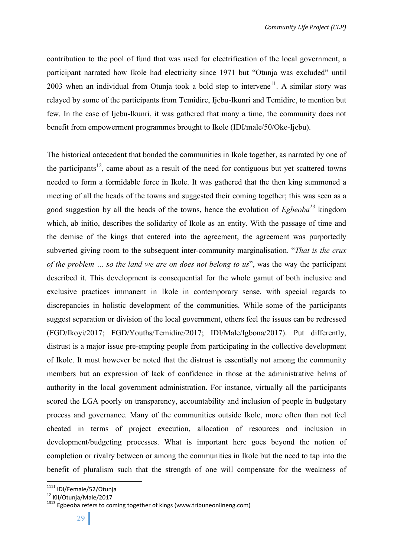contribution to the pool of fund that was used for electrification of the local government, a participant narrated how Ikole had electricity since 1971 but "Otunja was excluded" until 2003 when an individual from Otunja took a bold step to intervene<sup>11</sup>. A similar story was relayed by some of the participants from Temidire, Ijebu-Ikunri and Temidire, to mention but few. In the case of Ijebu-Ikunri, it was gathered that many a time, the community does not benefit from empowerment programmes brought to Ikole (IDI/male/50/Oke-Ijebu).

The historical antecedent that bonded the communities in Ikole together, as narrated by one of the participants<sup>12</sup>, came about as a result of the need for contiguous but yet scattered towns needed to form a formidable force in Ikole. It was gathered that the then king summoned a meeting of all the heads of the towns and suggested their coming together; this was seen as a good suggestion by all the heads of the towns, hence the evolution of *Egbeoba13* kingdom which, ab initio, describes the solidarity of Ikole as an entity. With the passage of time and the demise of the kings that entered into the agreement, the agreement was purportedly subverted giving room to the subsequent inter-community marginalisation. "*That is the crux of the problem … so the land we are on does not belong to us*", was the way the participant described it. This development is consequential for the whole gamut of both inclusive and exclusive practices immanent in Ikole in contemporary sense, with special regards to discrepancies in holistic development of the communities. While some of the participants suggest separation or division of the local government, others feel the issues can be redressed (FGD/Ikoyi/2017; FGD/Youths/Temidire/2017; IDI/Male/Igbona/2017). Put differently, distrust is a major issue pre-empting people from participating in the collective development of Ikole. It must however be noted that the distrust is essentially not among the community members but an expression of lack of confidence in those at the administrative helms of authority in the local government administration. For instance, virtually all the participants scored the LGA poorly on transparency, accountability and inclusion of people in budgetary process and governance. Many of the communities outside Ikole, more often than not feel cheated in terms of project execution, allocation of resources and inclusion in development/budgeting processes. What is important here goes beyond the notion of completion or rivalry between or among the communities in Ikole but the need to tap into the benefit of pluralism such that the strength of one will compensate for the weakness of

<sup>&</sup>lt;sup>1111</sup> IDI/Female/52/Otunja<br><sup>12</sup> KII/Otunja/Male/2017<br><sup>1313</sup> Egbeoba refers to coming together of kings (www.tribuneonlineng.com)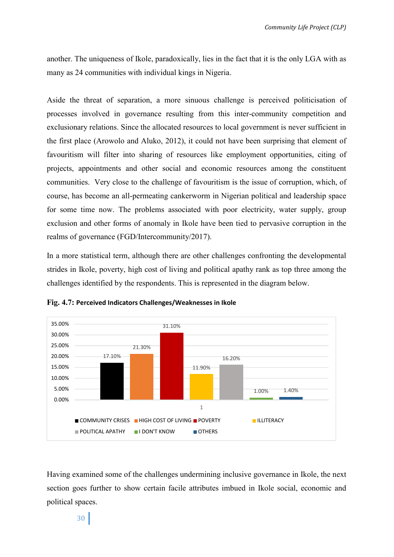another. The uniqueness of Ikole, paradoxically, lies in the fact that it is the only LGA with as many as 24 communities with individual kings in Nigeria.

Aside the threat of separation, a more sinuous challenge is perceived politicisation of processes involved in governance resulting from this inter-community competition and exclusionary relations. Since the allocated resources to local government is never sufficient in the first place (Arowolo and Aluko, 2012), it could not have been surprising that element of favouritism will filter into sharing of resources like employment opportunities, citing of projects, appointments and other social and economic resources among the constituent communities. Very close to the challenge of favouritism is the issue of corruption, which, of course, has become an all-permeating cankerworm in Nigerian political and leadership space for some time now. The problems associated with poor electricity, water supply, group exclusion and other forms of anomaly in Ikole have been tied to pervasive corruption in the realms of governance (FGD/Intercommunity/2017).

In a more statistical term, although there are other challenges confronting the developmental strides in Ikole, poverty, high cost of living and political apathy rank as top three among the challenges identified by the respondents. This is represented in the diagram below.





Having examined some of the challenges undermining inclusive governance in Ikole, the next section goes further to show certain facile attributes imbued in Ikole social, economic and political spaces.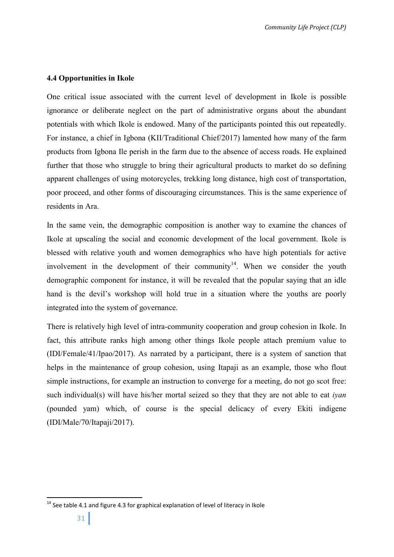# **4.4 Opportunities in Ikole**

One critical issue associated with the current level of development in Ikole is possible ignorance or deliberate neglect on the part of administrative organs about the abundant potentials with which Ikole is endowed. Many of the participants pointed this out repeatedly. For instance, a chief in Igbona (KII/Traditional Chief/2017) lamented how many of the farm products from Igbona Ile perish in the farm due to the absence of access roads. He explained further that those who struggle to bring their agricultural products to market do so defining apparent challenges of using motorcycles, trekking long distance, high cost of transportation, poor proceed, and other forms of discouraging circumstances. This is the same experience of residents in Ara.

In the same vein, the demographic composition is another way to examine the chances of Ikole at upscaling the social and economic development of the local government. Ikole is blessed with relative youth and women demographics who have high potentials for active involvement in the development of their community<sup>14</sup>. When we consider the youth demographic component for instance, it will be revealed that the popular saying that an idle hand is the devil's workshop will hold true in a situation where the youths are poorly integrated into the system of governance.

There is relatively high level of intra-community cooperation and group cohesion in Ikole. In fact, this attribute ranks high among other things Ikole people attach premium value to (IDI/Female/41/Ipao/2017). As narrated by a participant, there is a system of sanction that helps in the maintenance of group cohesion, using Itapaji as an example, those who flout simple instructions, for example an instruction to converge for a meeting, do not go scot free: such individual(s) will have his/her mortal seized so they that they are not able to eat *iyan* (pounded yam) which, of course is the special delicacy of every Ekiti indigene (IDI/Male/70/Itapaji/2017).

<sup>&</sup>lt;sup>14</sup> See table 4.1 and figure 4.3 for graphical explanation of level of literacy in Ikole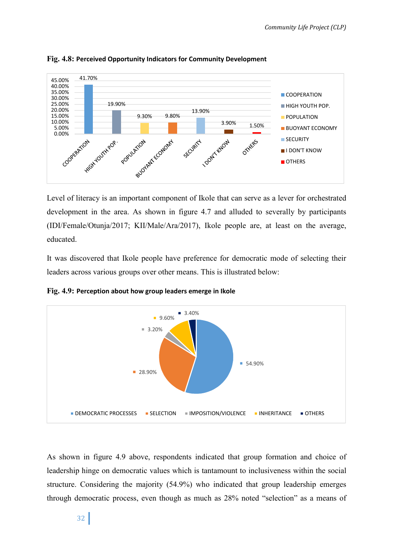

**Fig. 4.8: Perceived Opportunity Indicators for Community Development**

Level of literacy is an important component of Ikole that can serve as a lever for orchestrated development in the area. As shown in figure 4.7 and alluded to severally by participants (IDI/Female/Otunja/2017; KII/Male/Ara/2017), Ikole people are, at least on the average, educated.

It was discovered that Ikole people have preference for democratic mode of selecting their leaders across various groups over other means. This is illustrated below:

**Fig. 4.9: Perception about how group leaders emerge in Ikole**



As shown in figure 4.9 above, respondents indicated that group formation and choice of leadership hinge on democratic values which is tantamount to inclusiveness within the social structure. Considering the majority (54.9%) who indicated that group leadership emerges through democratic process, even though as much as 28% noted "selection" as a means of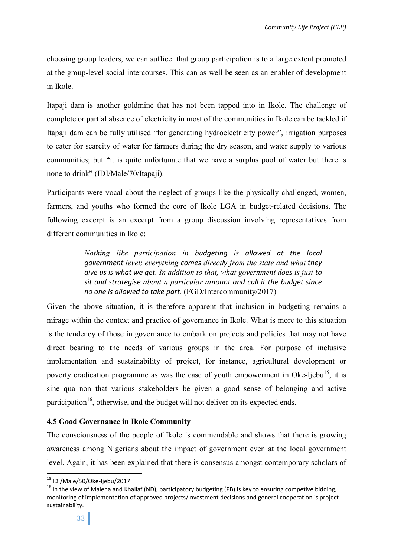choosing group leaders, we can suffice that group participation is to a large extent promoted at the group-level social intercourses. This can as well be seen as an enabler of development in Ikole.

Itapaji dam is another goldmine that has not been tapped into in Ikole. The challenge of complete or partial absence of electricity in most of the communities in Ikole can be tackled if Itapaji dam can be fully utilised "for generating hydroelectricity power", irrigation purposes to cater for scarcity of water for farmers during the dry season, and water supply to various communities; but "it is quite unfortunate that we have a surplus pool of water but there is none to drink" (IDI/Male/70/Itapaji).

Participants were vocal about the neglect of groups like the physically challenged, women, farmers, and youths who formed the core of Ikole LGA in budget-related decisions. The following excerpt is an excerpt from a group discussion involving representatives from different communities in Ikole:

> *Nothing like participation in budgeting is allowed at the local government level; everything comes directly from the state and what they give us is what we get. In addition to that, what government does is just to sit and strategise about a particular amount and call it the budget since no one is allowed to take part.* (FGD/Intercommunity/2017)

Given the above situation, it is therefore apparent that inclusion in budgeting remains a mirage within the context and practice of governance in Ikole. What is more to this situation is the tendency of those in governance to embark on projects and policies that may not have direct bearing to the needs of various groups in the area. For purpose of inclusive implementation and sustainability of project, for instance, agricultural development or poverty eradication programme as was the case of youth empowerment in Oke-Ijebu<sup>15</sup>, it is sine qua non that various stakeholders be given a good sense of belonging and active participation<sup>16</sup>, otherwise, and the budget will not deliver on its expected ends.

# **4.5 Good Governance in Ikole Community**

The consciousness of the people of Ikole is commendable and shows that there is growing awareness among Nigerians about the impact of government even at the local government level. Again, it has been explained that there is consensus amongst contemporary scholars of

<sup>&</sup>lt;sup>15</sup> IDI/Male/50/Oke-Ijebu/2017<br><sup>16</sup> In the view of Malena and Khallaf (ND), participatory budgeting (PB) is key to ensuring competive bidding, monitoring of implementation of approved projects/investment decisions and general cooperation is project sustainability.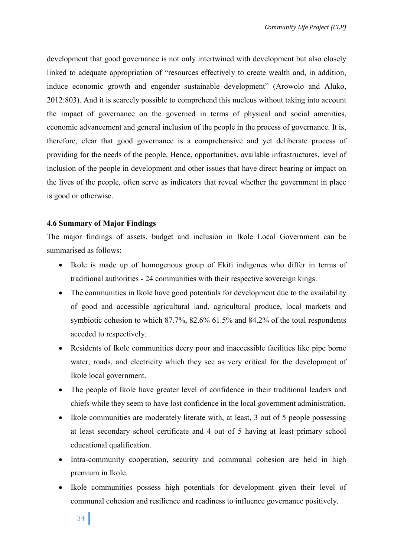development that good governance is not only intertwined with development but also closely linked to adequate appropriation of "resources effectively to create wealth and, in addition, induce economic growth and engender sustainable development" (Arowolo and Aluko, 2012:803). And it is scarcely possible to comprehend this nucleus without taking into account the impact of governance on the governed in terms of physical and social amenities, economic advancement and general inclusion of the people in the process of governance. It is, therefore, clear that good governance is a comprehensive and yet deliberate process of providing for the needs of the people. Hence, opportunities, available infrastructures, level of inclusion of the people in development and other issues that have direct bearing or impact on the lives of the people, often serve as indicators that reveal whether the government in place is good or otherwise.

# **4.6 Summary of Major Findings**

The major findings of assets, budget and inclusion in Ikole Local Government can be summarised as follows:

- Ikole is made up of homogenous group of Ekiti indigenes who differ in terms of traditional authorities - 24 communities with their respective sovereign kings.
- The communities in Ikole have good potentials for development due to the availability of good and accessible agricultural land, agricultural produce, local markets and symbiotic cohesion to which 87.7%, 82.6% 61.5% and 84.2% of the total respondents acceded to respectively.
- Residents of Ikole communities decry poor and inaccessible facilities like pipe borne water, roads, and electricity which they see as very critical for the development of Ikole local government.
- The people of Ikole have greater level of confidence in their traditional leaders and chiefs while they seem to have lost confidence in the local government administration.
- Ikole communities are moderately literate with, at least, 3 out of 5 people possessing at least secondary school certificate and 4 out of 5 having at least primary school educational qualification.
- Intra-community cooperation, security and communal cohesion are held in high premium in Ikole.
- Ikole communities possess high potentials for development given their level of communal cohesion and resilience and readiness to influence governance positively.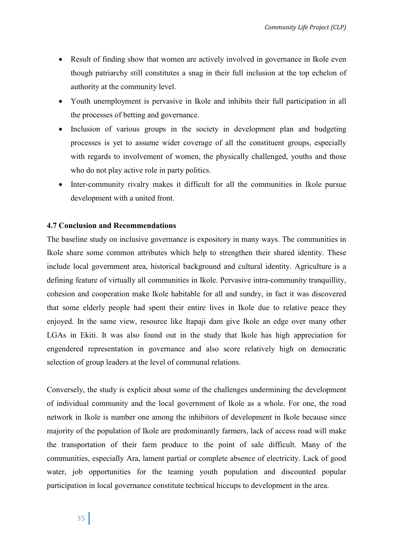- Result of finding show that women are actively involved in governance in Ikole even though patriarchy still constitutes a snag in their full inclusion at the top echelon of authority at the community level.
- Youth unemployment is pervasive in Ikole and inhibits their full participation in all the processes of betting and governance.
- Inclusion of various groups in the society in development plan and budgeting processes is yet to assume wider coverage of all the constituent groups, especially with regards to involvement of women, the physically challenged, youths and those who do not play active role in party politics.
- Inter-community rivalry makes it difficult for all the communities in Ikole pursue development with a united front.

# **4.7 Conclusion and Recommendations**

The baseline study on inclusive governance is expository in many ways. The communities in Ikole share some common attributes which help to strengthen their shared identity. These include local government area, historical background and cultural identity. Agriculture is a defining feature of virtually all communities in Ikole. Pervasive intra-community tranquillity, cohesion and cooperation make Ikole habitable for all and sundry, in fact it was discovered that some elderly people had spent their entire lives in Ikole due to relative peace they enjoyed. In the same view, resource like Itapaji dam give Ikole an edge over many other LGAs in Ekiti. It was also found out in the study that Ikole has high appreciation for engendered representation in governance and also score relatively high on democratic selection of group leaders at the level of communal relations.

Conversely, the study is explicit about some of the challenges undermining the development of individual community and the local government of Ikole as a whole. For one, the road network in Ikole is number one among the inhibitors of development in Ikole because since majority of the population of Ikole are predominantly farmers, lack of access road will make the transportation of their farm produce to the point of sale difficult. Many of the communities, especially Ara, lament partial or complete absence of electricity. Lack of good water, job opportunities for the teaming youth population and discounted popular participation in local governance constitute technical hiccups to development in the area.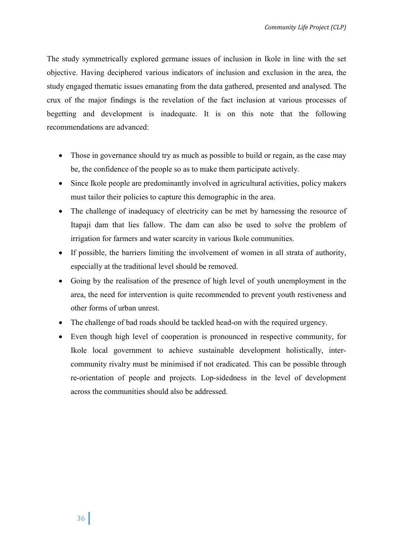The study symmetrically explored germane issues of inclusion in Ikole in line with the set objective. Having deciphered various indicators of inclusion and exclusion in the area, the study engaged thematic issues emanating from the data gathered, presented and analysed. The crux of the major findings is the revelation of the fact inclusion at various processes of begetting and development is inadequate. It is on this note that the following recommendations are advanced:

- Those in governance should try as much as possible to build or regain, as the case may be, the confidence of the people so as to make them participate actively.
- Since Ikole people are predominantly involved in agricultural activities, policy makers must tailor their policies to capture this demographic in the area.
- The challenge of inadequacy of electricity can be met by harnessing the resource of Itapaji dam that lies fallow. The dam can also be used to solve the problem of irrigation for farmers and water scarcity in various Ikole communities.
- If possible, the barriers limiting the involvement of women in all strata of authority, especially at the traditional level should be removed.
- Going by the realisation of the presence of high level of youth unemployment in the area, the need for intervention is quite recommended to prevent youth restiveness and other forms of urban unrest.
- The challenge of bad roads should be tackled head-on with the required urgency.
- Even though high level of cooperation is pronounced in respective community, for Ikole local government to achieve sustainable development holistically, intercommunity rivalry must be minimised if not eradicated. This can be possible through re-orientation of people and projects. Lop-sidedness in the level of development across the communities should also be addressed.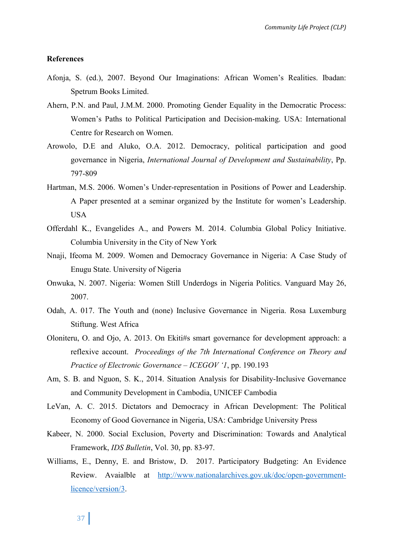#### **References**

- Afonja, S. (ed.), 2007. Beyond Our Imaginations: African Women's Realities. Ibadan: Spetrum Books Limited.
- Ahern, P.N. and Paul, J.M.M. 2000. Promoting Gender Equality in the Democratic Process: Women's Paths to Political Participation and Decision-making. USA: International Centre for Research on Women.
- Arowolo, D.E and Aluko, O.A. 2012. Democracy, political participation and good governance in Nigeria, *International Journal of Development and Sustainability*, Pp. 797-809
- Hartman, M.S. 2006. Women's Under-representation in Positions of Power and Leadership. A Paper presented at a seminar organized by the Institute for women's Leadership. USA
- Offerdahl K., Evangelides A., and Powers M. 2014. Columbia Global Policy Initiative. Columbia University in the City of New York
- Nnaji, Ifeoma M. 2009. Women and Democracy Governance in Nigeria: A Case Study of Enugu State. University of Nigeria
- Onwuka, N. 2007. Nigeria: Women Still Underdogs in Nigeria Politics. Vanguard May 26, 2007.
- Odah, A. 017. The Youth and (none) Inclusive Governance in Nigeria. Rosa Luxemburg Stiftung. West Africa
- Oloniteru, O. and Ojo, A. 2013. On Ekiti#s smart governance for development approach: a reflexive account. *Proceedings of the 7th International Conference on Theory and Practice of Electronic Governance – ICEGOV '1*, pp. 190.193
- Am, S. B. and Nguon, S. K., 2014. Situation Analysis for Disability-Inclusive Governance and Community Development in Cambodia, UNICEF Cambodia
- LeVan, A. C. 2015. Dictators and Democracy in African Development: The Political Economy of Good Governance in Nigeria, USA: Cambridge University Press
- Kabeer, N. 2000. Social Exclusion, Poverty and Discrimination: Towards and Analytical Framework, *IDS Bulletin*, Vol. 30, pp. 83-97.
- Williams, E., Denny, E. and Bristow, D. 2017. Participatory Budgeting: An Evidence Review. Avaialble at http://www.nationalarchives.gov.uk/doc/open-governmentlicence/version/3.